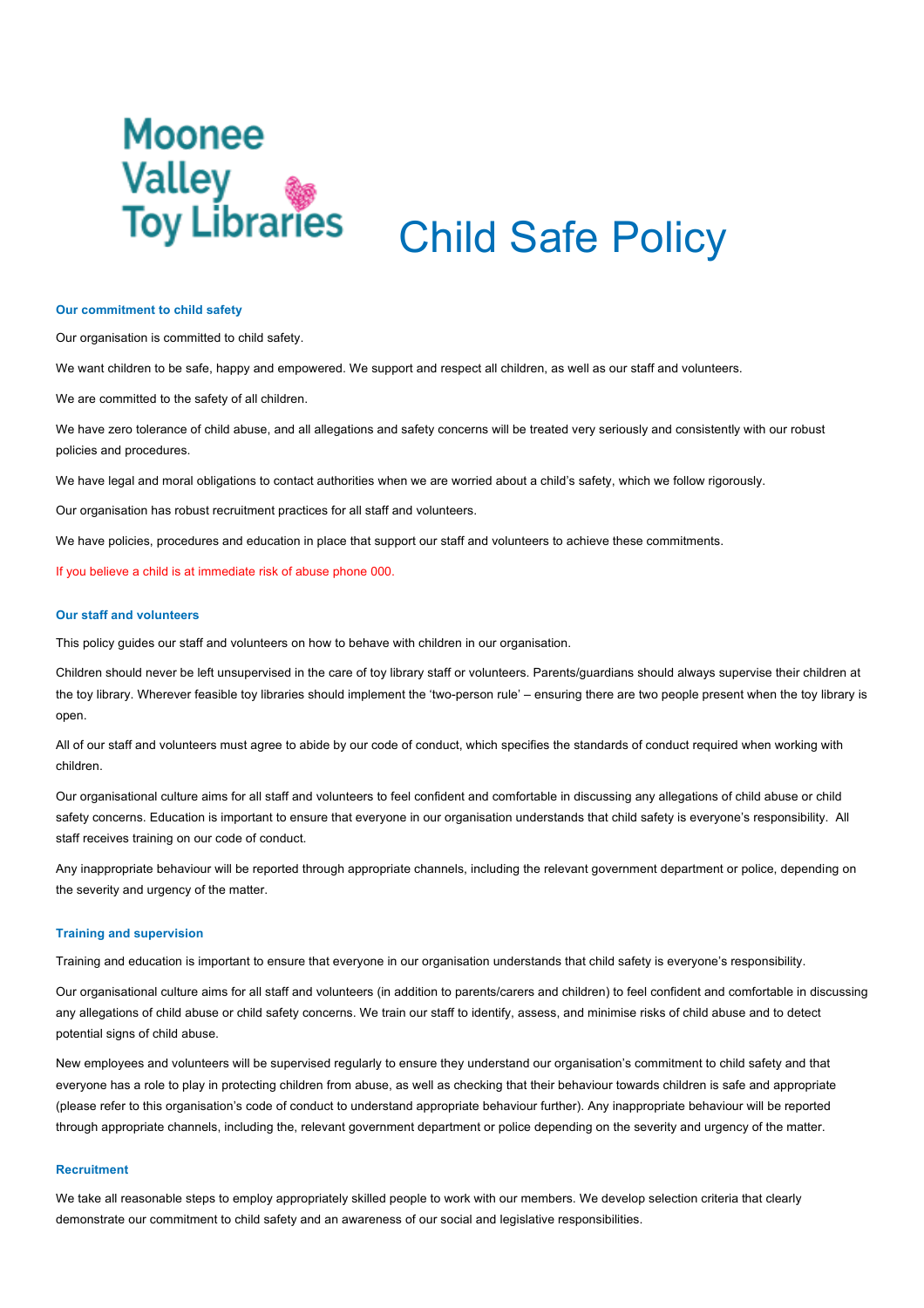# **Moonee Valley<br>Toy Libraries** Child Safe Policy

#### **Our commitment to child safety**

Our organisation is committed to child safety.

We want children to be safe, happy and empowered. We support and respect all children, as well as our staff and volunteers.

We are committed to the safety of all children.

We have zero tolerance of child abuse, and all allegations and safety concerns will be treated very seriously and consistently with our robust policies and procedures.

We have legal and moral obligations to contact authorities when we are worried about a child's safety, which we follow rigorously.

Our organisation has robust recruitment practices for all staff and volunteers.

We have policies, procedures and education in place that support our staff and volunteers to achieve these commitments.

If you believe a child is at immediate risk of abuse phone 000.

## **Our staff and volunteers**

This policy guides our staff and volunteers on how to behave with children in our organisation.

Children should never be left unsupervised in the care of toy library staff or volunteers. Parents/guardians should always supervise their children at the toy library. Wherever feasible toy libraries should implement the 'two-person rule' – ensuring there are two people present when the toy library is open.

All of our staff and volunteers must agree to abide by our code of conduct, which specifies the standards of conduct required when working with children.

Our organisational culture aims for all staff and volunteers to feel confident and comfortable in discussing any allegations of child abuse or child safety concerns. Education is important to ensure that everyone in our organisation understands that child safety is everyone's responsibility. All staff receives training on our code of conduct.

Any inappropriate behaviour will be reported through appropriate channels, including the relevant government department or police, depending on the severity and urgency of the matter.

### **Training and supervision**

Training and education is important to ensure that everyone in our organisation understands that child safety is everyone's responsibility.

Our organisational culture aims for all staff and volunteers (in addition to parents/carers and children) to feel confident and comfortable in discussing any allegations of child abuse or child safety concerns. We train our staff to identify, assess, and minimise risks of child abuse and to detect potential signs of child abuse.

New employees and volunteers will be supervised regularly to ensure they understand our organisation's commitment to child safety and that everyone has a role to play in protecting children from abuse, as well as checking that their behaviour towards children is safe and appropriate (please refer to this organisation's code of conduct to understand appropriate behaviour further). Any inappropriate behaviour will be reported through appropriate channels, including the, relevant government department or police depending on the severity and urgency of the matter.

# **Recruitment**

We take all reasonable steps to employ appropriately skilled people to work with our members. We develop selection criteria that clearly demonstrate our commitment to child safety and an awareness of our social and legislative responsibilities.